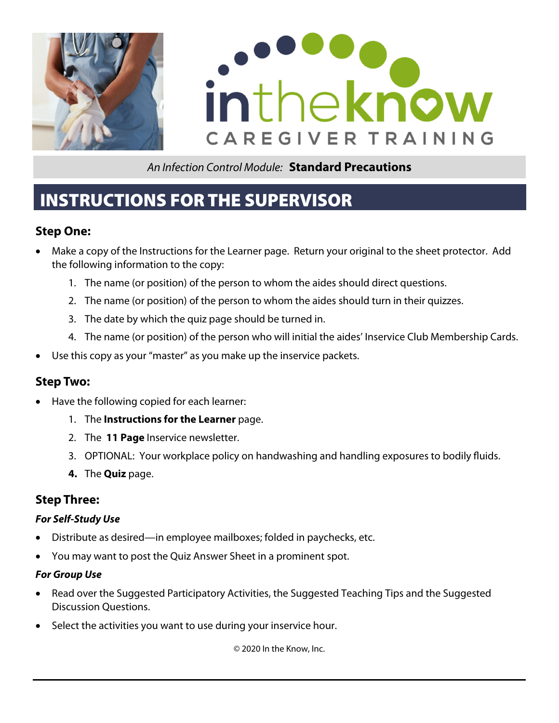



# INSTRUCTIONS FOR THE SUPERVISOR

## **Step One:**

- Make a copy of the Instructions for the Learner page. Return your original to the sheet protector. Add the following information to the copy:
	- 1. The name (or position) of the person to whom the aides should direct questions.
	- 2. The name (or position) of the person to whom the aides should turn in their quizzes.
	- 3. The date by which the quiz page should be turned in.
	- 4. The name (or position) of the person who will initial the aides' Inservice Club Membership Cards.
- Use this copy as your "master" as you make up the inservice packets.

## **Step Two:**

- Have the following copied for each learner:
	- 1. The **Instructions for the Learner** page.
	- 2. The **11 Page** Inservice newsletter.
	- 3. OPTIONAL: Your workplace policy on handwashing and handling exposures to bodily fluids.
	- **4.** The **Quiz** page.

## **Step Three:**

#### **For Self-Study Use**

- Distribute as desired—in employee mailboxes; folded in paychecks, etc.
- You may want to post the Quiz Answer Sheet in a prominent spot.

#### **For Group Use**

- Read over the Suggested Participatory Activities, the Suggested Teaching Tips and the Suggested Discussion Questions.
- Select the activities you want to use during your inservice hour.

© 2020 In the Know, Inc.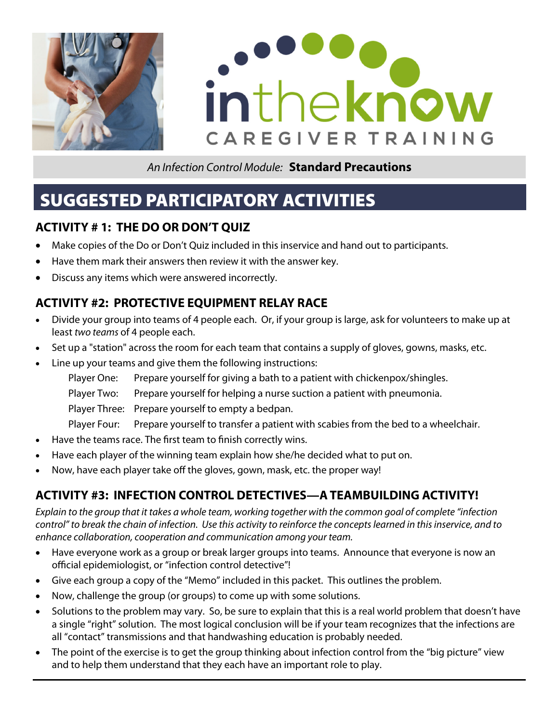



# SUGGESTED PARTICIPATORY ACTIVITIES

## **ACTIVITY # 1: THE DO OR DON'T QUIZ**

- Make copies of the Do or Don't Quiz included in this inservice and hand out to participants.
- Have them mark their answers then review it with the answer key.
- Discuss any items which were answered incorrectly.

## **ACTIVITY #2: PROTECTIVE EQUIPMENT RELAY RACE**

- Divide your group into teams of 4 people each. Or, if your group is large, ask for volunteers to make up at least two teams of 4 people each.
- Set up a "station" across the room for each team that contains a supply of gloves, gowns, masks, etc.
- Line up your teams and give them the following instructions:
	- Player One: Prepare yourself for giving a bath to a patient with chickenpox/shingles.
	- Player Two: Prepare yourself for helping a nurse suction a patient with pneumonia.
	- Player Three: Prepare yourself to empty a bedpan.
	- Player Four: Prepare yourself to transfer a patient with scabies from the bed to a wheelchair.
- Have the teams race. The first team to finish correctly wins.
- Have each player of the winning team explain how she/he decided what to put on.
- Now, have each player take off the gloves, gown, mask, etc. the proper way!

# **ACTIVITY #3: INFECTION CONTROL DETECTIVES—A TEAMBUILDING ACTIVITY!**

Explain to the group that it takes a whole team, working together with the common goal of complete "infection control" to break the chain of infection. Use this activity to reinforce the concepts learned in this inservice, and to enhance collaboration, cooperation and communication among your team.

- Have everyone work as a group or break larger groups into teams. Announce that everyone is now an official epidemiologist, or "infection control detective"!
- Give each group a copy of the "Memo" included in this packet. This outlines the problem.
- Now, challenge the group (or groups) to come up with some solutions.
- Solutions to the problem may vary. So, be sure to explain that this is a real world problem that doesn't have a single "right" solution. The most logical conclusion will be if your team recognizes that the infections are all "contact" transmissions and that handwashing education is probably needed.
- The point of the exercise is to get the group thinking about infection control from the "big picture" view and to help them understand that they each have an important role to play.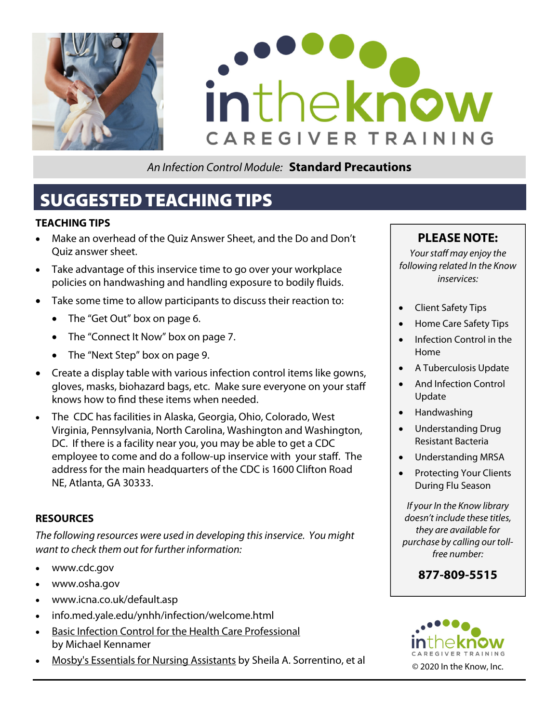



# SUGGESTED TEACHING TIPS

#### **TEACHING TIPS**

- Make an overhead of the Quiz Answer Sheet, and the Do and Don't Quiz answer sheet.
- Take advantage of this inservice time to go over your workplace policies on handwashing and handling exposure to bodily fluids.
- Take some time to allow participants to discuss their reaction to:
	- The "Get Out" box on page 6.
	- The "Connect It Now" box on page 7.
	- The "Next Step" box on page 9.
- Create a display table with various infection control items like gowns, gloves, masks, biohazard bags, etc. Make sure everyone on your staff knows how to find these items when needed.
- The CDC has facilities in Alaska, Georgia, Ohio, Colorado, West Virginia, Pennsylvania, North Carolina, Washington and Washington, DC. If there is a facility near you, you may be able to get a CDC employee to come and do a follow-up inservice with your staff. The address for the main headquarters of the CDC is 1600 Clifton Road NE, Atlanta, GA 30333.

#### **RESOURCES**

The following resources were used in developing this inservice. You might want to check them out for further information:

- www.cdc.gov
- www.osha.gov
- www.icna.co.uk/default.asp
- info.med.yale.edu/ynhh/infection/welcome.html
- Basic Infection Control for the Health Care Professional by Michael Kennamer
- Mosby's Essentials for Nursing Assistants by Sheila A. Sorrentino, et al © 2020 In the Know, Inc.

## **PLEASE NOTE:**

Your staff may enjoy the following related In the Know inservices:

- Client Safety Tips
- Home Care Safety Tips
- Infection Control in the Home
- A Tuberculosis Update
- And Infection Control Update
- Handwashing
- Understanding Drug Resistant Bacteria
- Understanding MRSA
- Protecting Your Clients During Flu Season

If your In the Know library doesn't include these titles, they are available for purchase by calling our tollfree number:

**877-809-5515** 

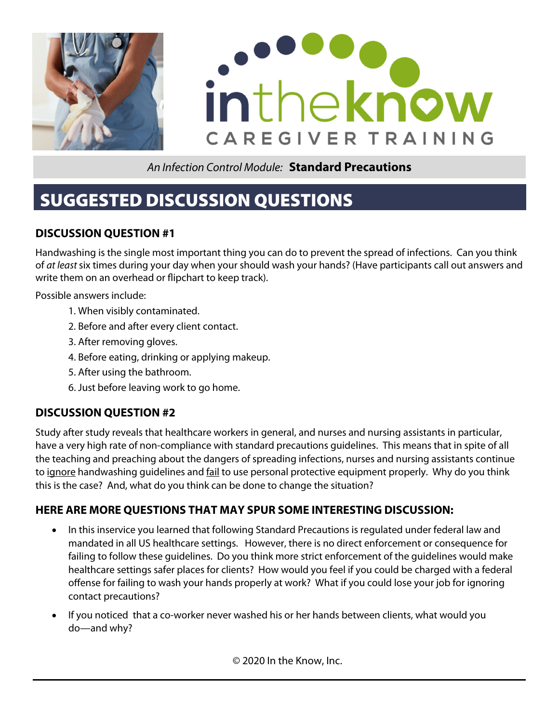



# SUGGESTED DISCUSSION QUESTIONS

## **DISCUSSION QUESTION #1**

Handwashing is the single most important thing you can do to prevent the spread of infections. Can you think of at least six times during your day when your should wash your hands? (Have participants call out answers and write them on an overhead or flipchart to keep track).

Possible answers include:

- 1. When visibly contaminated.
- 2. Before and after every client contact.
- 3. After removing gloves.
- 4. Before eating, drinking or applying makeup.
- 5. After using the bathroom.
- 6. Just before leaving work to go home.

## **DISCUSSION QUESTION #2**

Study after study reveals that healthcare workers in general, and nurses and nursing assistants in particular, have a very high rate of non-compliance with standard precautions guidelines. This means that in spite of all the teaching and preaching about the dangers of spreading infections, nurses and nursing assistants continue to ignore handwashing guidelines and fail to use personal protective equipment properly. Why do you think this is the case? And, what do you think can be done to change the situation?

### **HERE ARE MORE QUESTIONS THAT MAY SPUR SOME INTERESTING DISCUSSION:**

- In this inservice you learned that following Standard Precautions is regulated under federal law and mandated in all US healthcare settings. However, there is no direct enforcement or consequence for failing to follow these guidelines. Do you think more strict enforcement of the guidelines would make healthcare settings safer places for clients? How would you feel if you could be charged with a federal offense for failing to wash your hands properly at work? What if you could lose your job for ignoring contact precautions?
- If you noticed that a co-worker never washed his or her hands between clients, what would you do—and why?

© 2020 In the Know, Inc.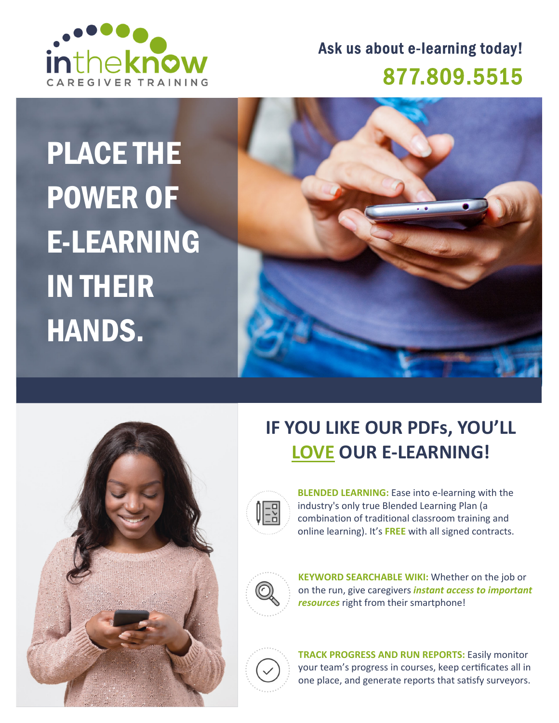

# Ask us about e-learning today! 877.809.5515

# PLACE THE POWER OF E-LEARNING IN THEIR HANDS.





# **IF YOU LIKE OUR PDFs, YOU'LL LOVE OUR E‐LEARNING!**



**BLENDED LEARNING:** Ease into e‐learning with the industry's only true Blended Learning Plan (a combination of traditional classroom training and online learning). It's **FREE** with all signed contracts.



**KEYWORD SEARCHABLE WIKI:** Whether on the job or on the run, give caregivers *instant access to important resources* right from their smartphone!



**TRACK PROGRESS AND RUN REPORTS:** Easily monitor your team's progress in courses, keep certificates all in one place, and generate reports that satisfy surveyors.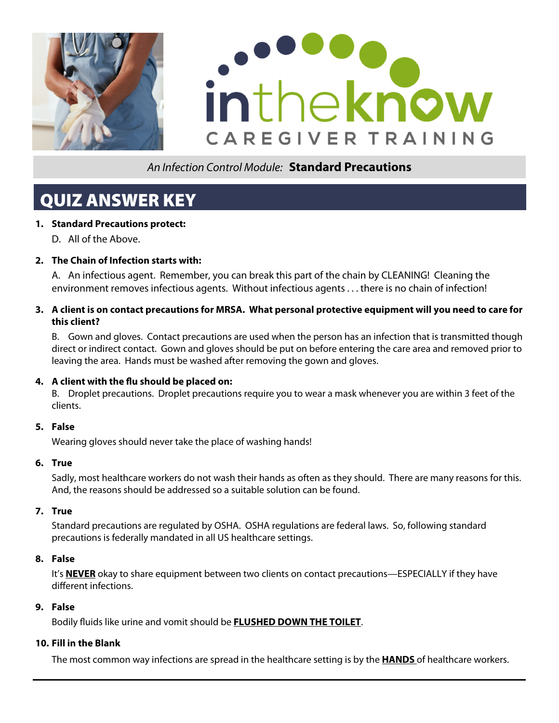



# QUIZ ANSWER KEY

#### **1. Standard Precautions protect:**

D. All of the Above.

#### **2. The Chain of Infection starts with:**

A. An infectious agent. Remember, you can break this part of the chain by CLEANING! Cleaning the environment removes infectious agents. Without infectious agents . . . there is no chain of infection!

#### **3. A client is on contact precautions for MRSA. What personal protective equipment will you need to care for this client?**

 B. Gown and gloves. Contact precautions are used when the person has an infection that is transmitted though direct or indirect contact. Gown and gloves should be put on before entering the care area and removed prior to leaving the area. Hands must be washed after removing the gown and gloves.

#### **4. A client with the flu should be placed on:**

B. Droplet precautions. Droplet precautions require you to wear a mask whenever you are within 3 feet of the clients.

#### **5. False**

Wearing gloves should never take the place of washing hands!

#### **6. True**

 Sadly, most healthcare workers do not wash their hands as often as they should. There are many reasons for this. And, the reasons should be addressed so a suitable solution can be found.

#### **7. True**

 Standard precautions are regulated by OSHA. OSHA regulations are federal laws. So, following standard precautions is federally mandated in all US healthcare settings.

#### **8. False**

 It's **NEVER** okay to share equipment between two clients on contact precautions—ESPECIALLY if they have different infections.

#### **9. False**

Bodily fluids like urine and vomit should be **FLUSHED DOWN THE TOILET**.

#### **10. Fill in the Blank**

The most common way infections are spread in the healthcare setting is by the **HANDS** of healthcare workers.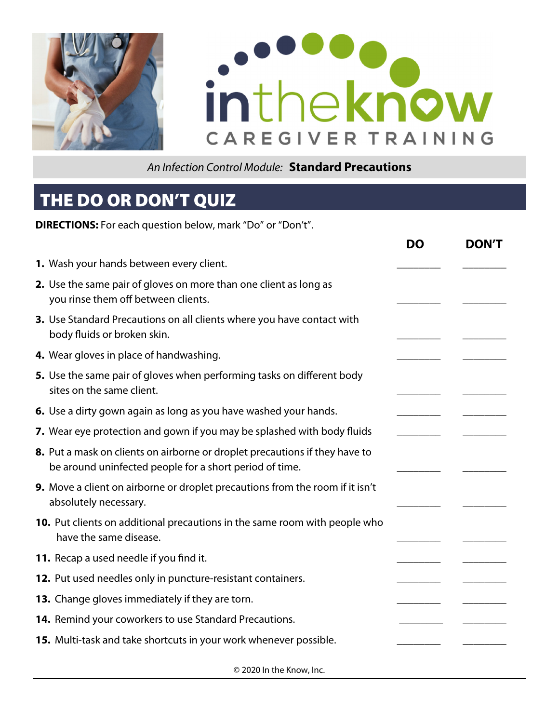



# THE DO OR DON'T QUIZ

**DIRECTIONS:** For each question below, mark "Do" or "Don't".

|                                                                                                                                        | <b>DO</b> | <b>DON'T</b> |
|----------------------------------------------------------------------------------------------------------------------------------------|-----------|--------------|
| 1. Wash your hands between every client.                                                                                               |           |              |
| 2. Use the same pair of gloves on more than one client as long as<br>you rinse them off between clients.                               |           |              |
| 3. Use Standard Precautions on all clients where you have contact with<br>body fluids or broken skin.                                  |           |              |
| 4. Wear gloves in place of handwashing.                                                                                                |           |              |
| 5. Use the same pair of gloves when performing tasks on different body<br>sites on the same client.                                    |           |              |
| 6. Use a dirty gown again as long as you have washed your hands.                                                                       |           |              |
| 7. Wear eye protection and gown if you may be splashed with body fluids                                                                |           |              |
| 8. Put a mask on clients on airborne or droplet precautions if they have to<br>be around uninfected people for a short period of time. |           |              |
| 9. Move a client on airborne or droplet precautions from the room if it isn't<br>absolutely necessary.                                 |           |              |
| 10. Put clients on additional precautions in the same room with people who<br>have the same disease.                                   |           |              |
| 11. Recap a used needle if you find it.                                                                                                |           |              |
| 12. Put used needles only in puncture-resistant containers.                                                                            |           |              |
| 13. Change gloves immediately if they are torn.                                                                                        |           |              |
| 14. Remind your coworkers to use Standard Precautions.                                                                                 |           |              |
| 15. Multi-task and take shortcuts in your work whenever possible.                                                                      |           |              |
| $\odot$ 2020 In the Know, Inc.                                                                                                         |           |              |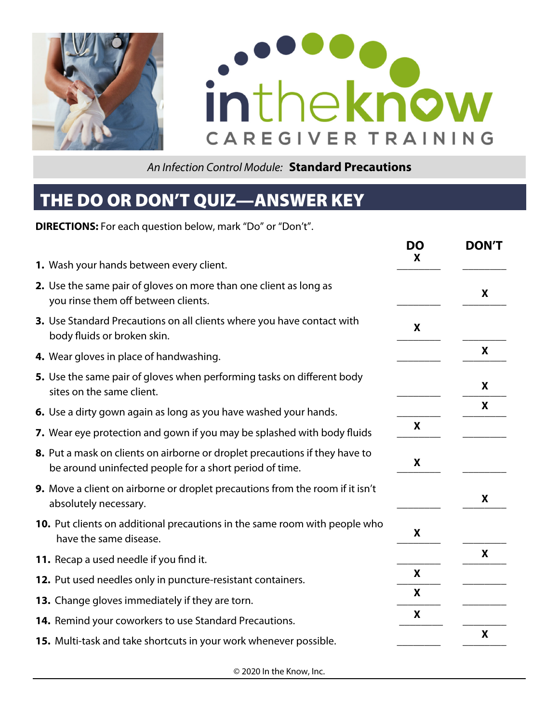



# THE DO OR DON'T QUIZ—ANSWER KEY

**DIRECTIONS:** For each question below, mark "Do" or "Don't".

|                                                                                                                                        | <b>DO</b><br>X | <b>DON'T</b>     |
|----------------------------------------------------------------------------------------------------------------------------------------|----------------|------------------|
| 1. Wash your hands between every client.                                                                                               |                |                  |
| 2. Use the same pair of gloves on more than one client as long as<br>you rinse them off between clients.                               |                | X                |
| 3. Use Standard Precautions on all clients where you have contact with<br>body fluids or broken skin.                                  | X              |                  |
| 4. Wear gloves in place of handwashing.                                                                                                |                | X                |
| 5. Use the same pair of gloves when performing tasks on different body<br>sites on the same client.                                    |                | X                |
| 6. Use a dirty gown again as long as you have washed your hands.                                                                       |                | X                |
| 7. Wear eye protection and gown if you may be splashed with body fluids                                                                | X              |                  |
| 8. Put a mask on clients on airborne or droplet precautions if they have to<br>be around uninfected people for a short period of time. | X              |                  |
| 9. Move a client on airborne or droplet precautions from the room if it isn't<br>absolutely necessary.                                 |                | X                |
| <b>10.</b> Put clients on additional precautions in the same room with people who<br>have the same disease.                            | X              |                  |
| 11. Recap a used needle if you find it.                                                                                                |                | X                |
| 12. Put used needles only in puncture-resistant containers.                                                                            | X              |                  |
| 13. Change gloves immediately if they are torn.                                                                                        | X              |                  |
| 14. Remind your coworkers to use Standard Precautions.                                                                                 | X              |                  |
| 15. Multi-task and take shortcuts in your work whenever possible.                                                                      |                | $\boldsymbol{X}$ |

© 2020 In the Know, Inc.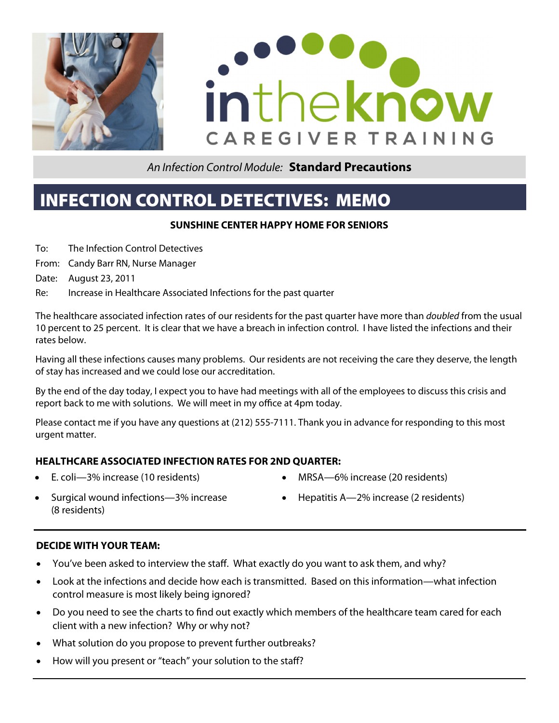



# INFECTION CONTROL DETECTIVES: MEMO

#### **SUNSHINE CENTER HAPPY HOME FOR SENIORS**

- To: The Infection Control Detectives
- From: Candy Barr RN, Nurse Manager
- Date: August 23, 2011
- Re: Increase in Healthcare Associated Infections for the past quarter

The healthcare associated infection rates of our residents for the past quarter have more than *doubled* from the usual 10 percent to 25 percent. It is clear that we have a breach in infection control. I have listed the infections and their rates below.

Having all these infections causes many problems. Our residents are not receiving the care they deserve, the length of stay has increased and we could lose our accreditation.

By the end of the day today, I expect you to have had meetings with all of the employees to discuss this crisis and report back to me with solutions. We will meet in my office at 4pm today.

Please contact me if you have any questions at (212) 555-7111. Thank you in advance for responding to this most urgent matter.

#### **HEALTHCARE ASSOCIATED INFECTION RATES FOR 2ND QUARTER:**

E. coli—3% increase (10 residents)

- MRSA—6% increase (20 residents)
- Surgical wound infections—3% increase (8 residents)
- Hepatitis A—2% increase (2 residents)

#### **DECIDE WITH YOUR TEAM:**

- You've been asked to interview the staff. What exactly do you want to ask them, and why?
- Look at the infections and decide how each is transmitted. Based on this information—what infection control measure is most likely being ignored?
- Do you need to see the charts to find out exactly which members of the healthcare team cared for each client with a new infection? Why or why not?
- What solution do you propose to prevent further outbreaks?
- How will you present or "teach" your solution to the staff?